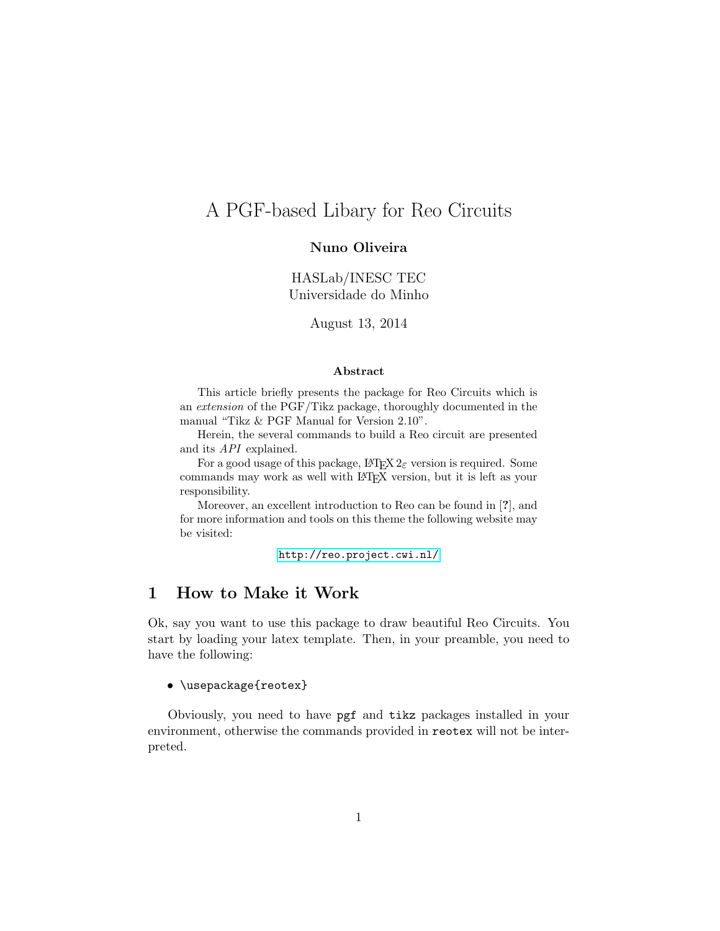# A PGF-based Libary for Reo Circuits

### Nuno Oliveira

HASLab/INESC TEC Universidade do Minho

August 13, 2014

#### Abstract

This article briefly presents the package for Reo Circuits which is an extension of the PGF/Tikz package, thoroughly documented in the manual "Tikz & PGF Manual for Version 2.10".

Herein, the several commands to build a Reo circuit are presented and its API explained.

For a good usage of this package,  $L^2 \to 2\varepsilon$  version is required. Some commands may work as well with LATEX version, but it is left as your responsibility.

Moreover, an excellent introduction to Reo can be found in [?], and for more information and tools on this theme the following website may be visited:

<http://reo.project.cwi.nl/>

### 1 How to Make it Work

Ok, say you want to use this package to draw beautiful Reo Circuits. You start by loading your latex template. Then, in your preamble, you need to have the following:

• \usepackage{reotex}

Obviously, you need to have pgf and tikz packages installed in your environment, otherwise the commands provided in reotex will not be interpreted.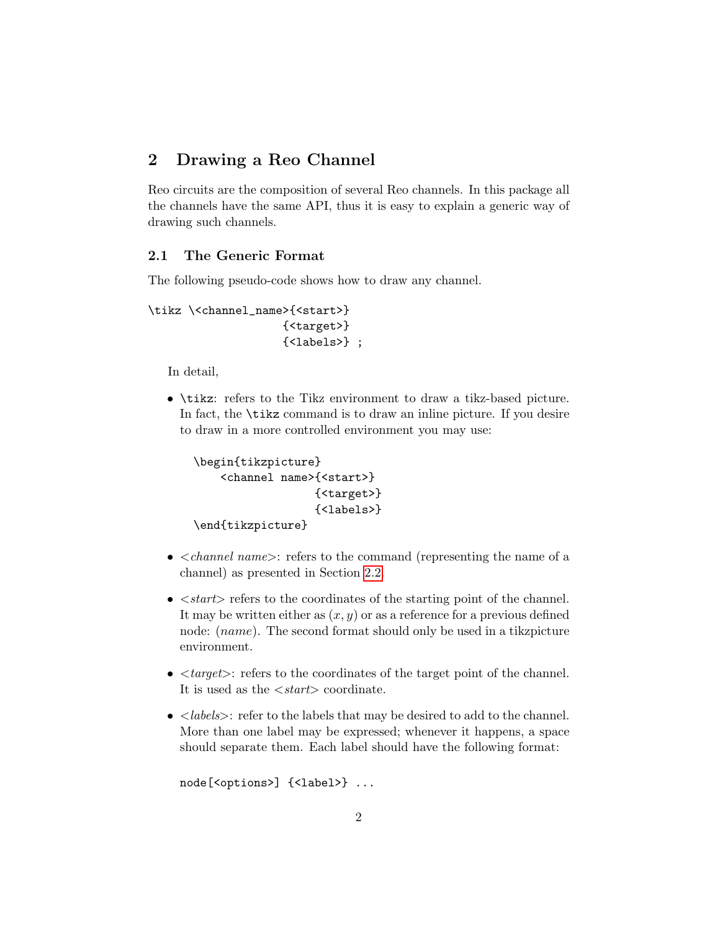### 2 Drawing a Reo Channel

Reo circuits are the composition of several Reo channels. In this package all the channels have the same API, thus it is easy to explain a generic way of drawing such channels.

### <span id="page-1-0"></span>2.1 The Generic Format

The following pseudo-code shows how to draw any channel.

```
\tikz \<channel_name>{<start>}
                    {<target>}
                    {<labels>} ;
```
In detail,

• \tikz: refers to the Tikz environment to draw a tikz-based picture. In fact, the \tikz command is to draw an inline picture. If you desire to draw in a more controlled environment you may use:

```
\begin{tikzpicture}
    <channel name>{<start>}
                  {<target>}
                  {<labels>}
\end{tikzpicture}
```
- $\leq$  *channel name* $>$ : refers to the command (representing the name of a channel) as presented in Section [2.2.](#page-2-0)
- $\bullet$   $\lt$ *start* $>$  refers to the coordinates of the starting point of the channel. It may be written either as  $(x, y)$  or as a reference for a previous defined node: (*name*). The second format should only be used in a tikzpicture environment.
- $\bullet$   $\langle \text{target}\rangle$ : refers to the coordinates of the target point of the channel. It is used as the  $\langle start \rangle$  coordinate.
- $\leq$  labels>: refer to the labels that may be desired to add to the channel. More than one label may be expressed; whenever it happens, a space should separate them. Each label should have the following format:

```
node[<options>] {<label>} ...
```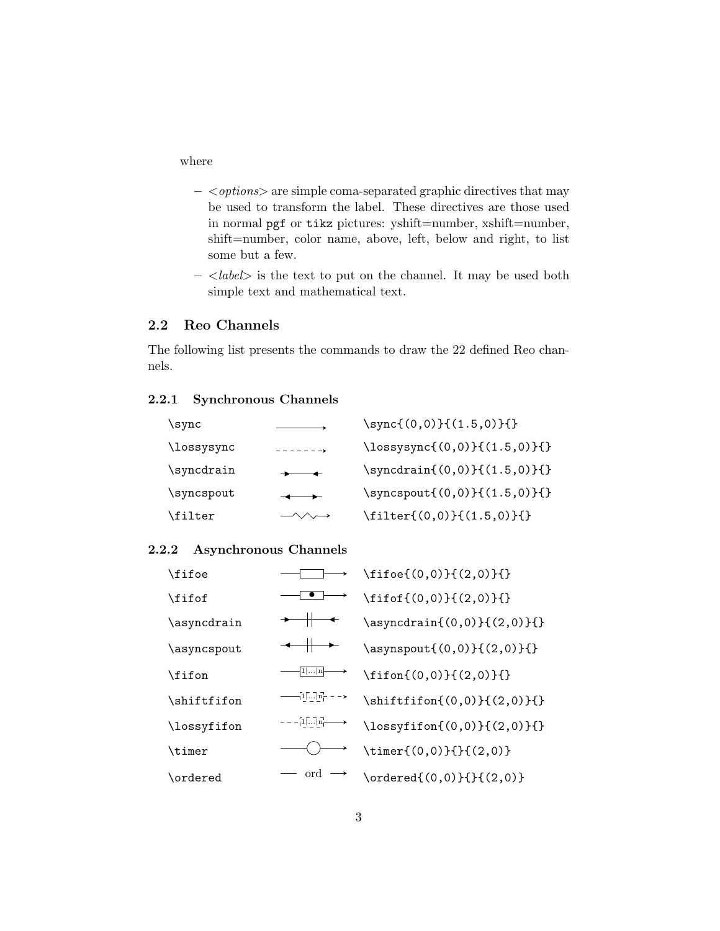where

- $-$  < *options* > are simple coma-separated graphic directives that may be used to transform the label. These directives are those used in normal pgf or tikz pictures: yshift=number, xshift=number, shift=number, color name, above, left, below and right, to list some but a few.
- $-$  <label> is the text to put on the channel. It may be used both simple text and mathematical text.

### <span id="page-2-0"></span>2.2 Reo Channels

The following list presents the commands to draw the 22 defined Reo channels.

#### 2.2.1 Synchronous Channels

| \sync      |                            | $\sqrt{(0,0)}{(1.5,0)}$                   |
|------------|----------------------------|-------------------------------------------|
| \lossysync | $- - - - - - - -$          | $\{\lossysync\{(0,0)\}\{(1.5,0)\}\}\$     |
| \syncdrain | $+ -$                      | $\sqrt{(0,0)}({1.5,0})$                   |
| \syncspout |                            | $\sqrt{(0,0)}({1.5,0})$                   |
| \filter    | $-\wedge\wedge\rightarrow$ | $\left\{ (0,0) \right\} \{ (1.5,0) \} \}$ |

### 2.2.2 Asynchronous Channels

| \fifoe      |                                                                                                                                                                                                                                                                                                                     | $\left(0,0\right)\{(2,0)\}\$                  |
|-------------|---------------------------------------------------------------------------------------------------------------------------------------------------------------------------------------------------------------------------------------------------------------------------------------------------------------------|-----------------------------------------------|
| \fifof      |                                                                                                                                                                                                                                                                                                                     | $\left\{ (0,0) \right\} \{ (2,0) \}$          |
| \asyncdrain |                                                                                                                                                                                                                                                                                                                     | \asyncdrain{(0,0)}{(2,0)}{}                   |
| \asyncspout |                                                                                                                                                                                                                                                                                                                     | \asynspout{(0,0)}{(2,0)}{}                    |
| \fifon      | 1  n                                                                                                                                                                                                                                                                                                                | $\left(0,0\right)\{(2,0)\}\$                  |
| \shiftfifon | $\frac{1}{2}$ $\frac{1}{2}$ $\frac{1}{2}$ $\frac{1}{2}$ $\frac{1}{2}$ $\frac{1}{2}$ $\frac{1}{2}$ $\frac{1}{2}$ $\frac{1}{2}$ $\frac{1}{2}$ $\frac{1}{2}$ $\frac{1}{2}$ $\frac{1}{2}$ $\frac{1}{2}$ $\frac{1}{2}$ $\frac{1}{2}$ $\frac{1}{2}$ $\frac{1}{2}$ $\frac{1}{2}$ $\frac{1}{2}$ $\frac{1}{2}$ $\frac{1}{2}$ | $\hbox{shiftifon}((0,0))\{(2,0)\}$            |
| \lossyfifon | $- - - \frac{1}{2} \overline{1} \cdots \overline{1} \overline{n} \longrightarrow$                                                                                                                                                                                                                                   | $\{\text{lossyfin}(0,0)\}(2,0)\}$             |
| \timer      |                                                                                                                                                                                                                                                                                                                     | $\time(f(0,0)}{\f(2,0)}$                      |
| \ordered    | ord                                                                                                                                                                                                                                                                                                                 | $\setminus \text{ordered}((0,0))$ { { (2,0) } |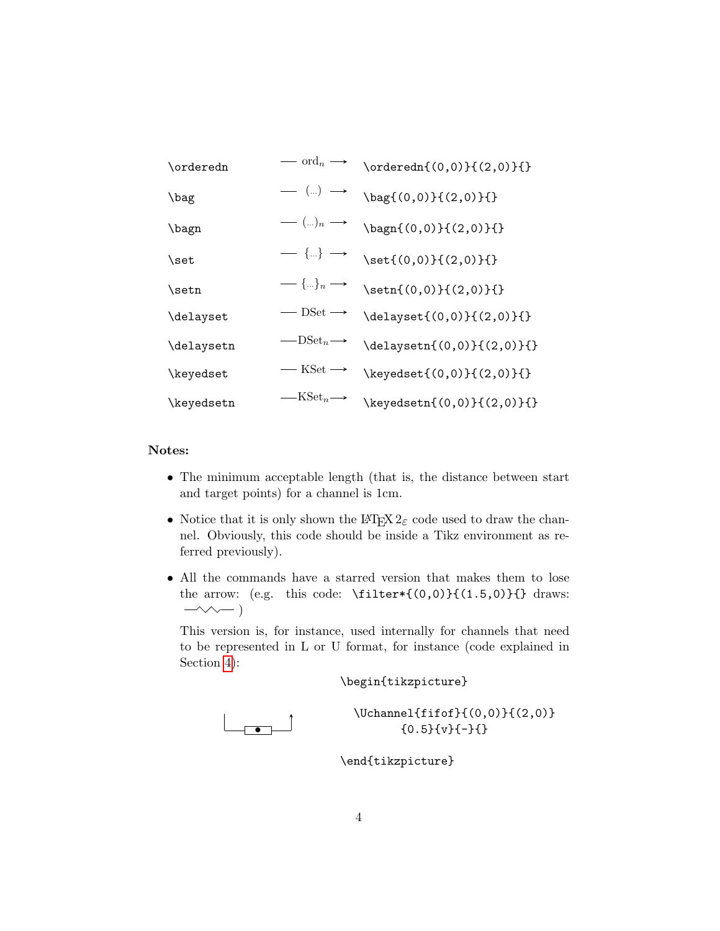| \orderedn  | $\longrightarrow$ ord <sub>n</sub> $\longrightarrow$                                                                                                                                                                                                                                                                                                              | $\{\mathrm{0,0}\}\$ $(2,0)\}$ {}           |
|------------|-------------------------------------------------------------------------------------------------------------------------------------------------------------------------------------------------------------------------------------------------------------------------------------------------------------------------------------------------------------------|--------------------------------------------|
| \bag       | $\begin{array}{c} \begin{array}{c} \begin{array}{c} \end{array}\\ \end{array} \end{array}$                                                                                                                                                                                                                                                                        | \bag{(0,0)}{(2,0)}{}                       |
| \bagn      | — (…)n $\longrightarrow$                                                                                                                                                                                                                                                                                                                                          | \bagn{(0,0)}{(2,0)}{}                      |
| \set       | $\begin{picture}(150,10) \put(0,0){\dashbox{0.5}(10,0){ }} \put(150,0){\dashbox{0.5}(10,0){ }} \put(150,0){\dashbox{0.5}(10,0){ }} \put(150,0){\dashbox{0.5}(10,0){ }} \put(150,0){\dashbox{0.5}(10,0){ }} \put(150,0){\dashbox{0.5}(10,0){ }} \put(150,0){\dashbox{0.5}(10,0){ }} \put(150,0){\dashbox{0.5}(10,0){ }} \put(150,0){\dashbox{0.5}(10,0){ }} \put($ |                                            |
| \setn      | $\longrightarrow \{\ldots\}_n \longrightarrow$                                                                                                                                                                                                                                                                                                                    | $\setminus \text{setn}\{(0,0)\}\{(2,0)\}\$ |
| \delayset  | $\hspace{1.5mm} \longrightarrow$ DSet $\longrightarrow$                                                                                                                                                                                                                                                                                                           | \delayset{(0,0)}{(2,0)}{}                  |
| \delaysetn | $-$ DSet <sub>n</sub> $\rightarrow$                                                                                                                                                                                                                                                                                                                               | $\delta(0,0)$ {(2,0) {{}                   |
| \keyedset  | $-$ KSet $\longrightarrow$                                                                                                                                                                                                                                                                                                                                        | \keyedset{(0,0)}{(2,0)}{}                  |
| \keyedsetn | $\longrightarrow$ KSet <sub>n</sub> $\longrightarrow$                                                                                                                                                                                                                                                                                                             | $\text{keyedsetn}\{(0,0)\}\{(2,0)\}\$      |

### Notes:

- The minimum acceptable length (that is, the distance between start and target points) for a channel is 1cm.
- Notice that it is only shown the LAT<sub>E</sub>X  $2\varepsilon$  code used to draw the channel. Obviously, this code should be inside a Tikz environment as referred previously).
- All the commands have a starred version that makes them to lose the arrow: (e.g. this code:  $\tilde{\mathcal{C}}(0,0)$  {(1.5,0)}{} draws:  $-\infty$ )

This version is, for instance, used internally for channels that need to be represented in L or U format, for instance (code explained in Section [4\)](#page-5-0):

\begin{tikzpicture}

 $\begin{array}{ccc} \hline \hline \hline \hline \end{array}$ 

\Uchannel{fifof}{(0,0)}{(2,0)} {0.5}{v}{-}{}

\end{tikzpicture}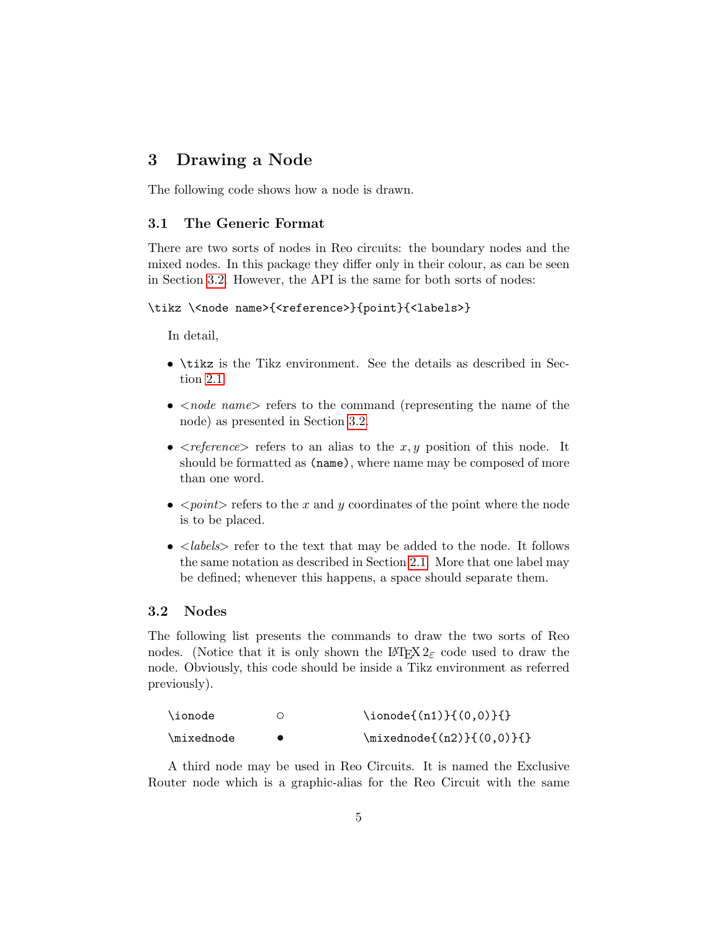## 3 Drawing a Node

The following code shows how a node is drawn.

### 3.1 The Generic Format

There are two sorts of nodes in Reo circuits: the boundary nodes and the mixed nodes. In this package they differ only in their colour, as can be seen in Section [3.2.](#page-4-0) However, the API is the same for both sorts of nodes:

#### \tikz \<node name>{<reference>}{point}{<labels>}

In detail,

- \tikz is the Tikz environment. See the details as described in Section [2.1](#page-1-0)
- $\leq$  *node name* refers to the command (representing the name of the node) as presented in Section [3.2.](#page-4-0)
- $\leq$  reference refers to an alias to the x, y position of this node. It should be formatted as (name), where name may be composed of more than one word.
- $\leq point$  refers to the x and y coordinates of the point where the node is to be placed.
- $\leq$  *labels* > refer to the text that may be added to the node. It follows the same notation as described in Section [2.1.](#page-1-0) More that one label may be defined; whenever this happens, a space should separate them.

### <span id="page-4-0"></span>3.2 Nodes

The following list presents the commands to draw the two sorts of Reo nodes. (Notice that it is only shown the LATEX  $2\varepsilon$  code used to draw the node. Obviously, this code should be inside a Tikz environment as referred previously).

| \ionode    | $\{ \infty, 0 \}$ \ionode{(n1) } { (0,0) } { } |
|------------|------------------------------------------------|
| \mixednode | $\{\min{(n2)}\}(0,0)\}$                        |

A third node may be used in Reo Circuits. It is named the Exclusive Router node which is a graphic-alias for the Reo Circuit with the same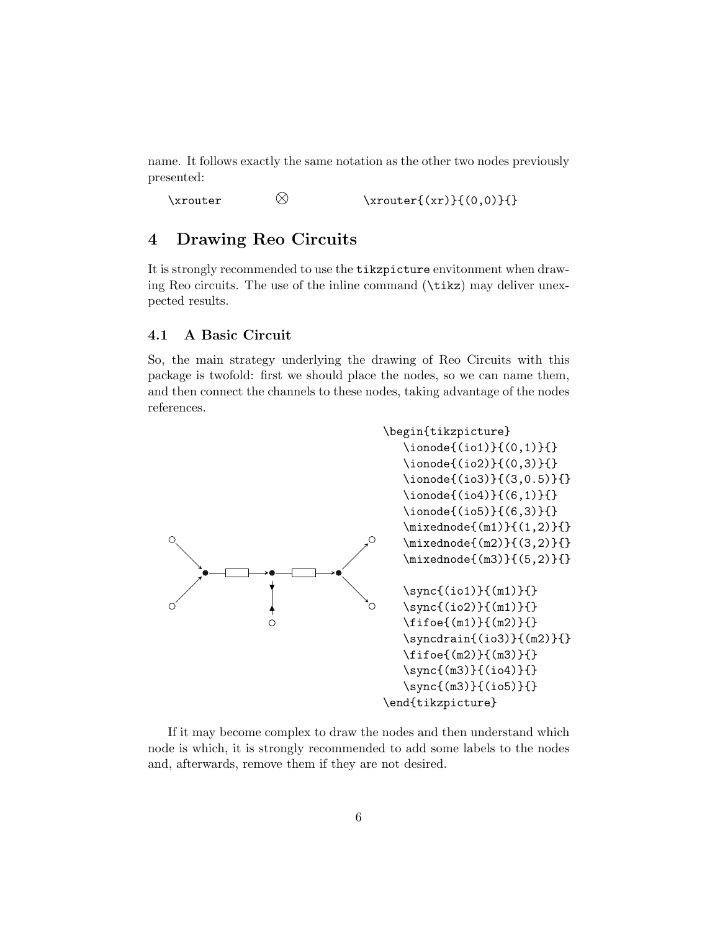name. It follows exactly the same notation as the other two nodes previously presented:

\xrouter  $\&$  \xrouter{(xr)}{(0,0)}{}

### <span id="page-5-0"></span>4 Drawing Reo Circuits

It is strongly recommended to use the tikzpicture envitonment when drawing Reo circuits. The use of the inline command (\tikz) may deliver unexpected results.

#### 4.1 A Basic Circuit

So, the main strategy underlying the drawing of Reo Circuits with this package is twofold: first we should place the nodes, so we can name them, and then connect the channels to these nodes, taking advantage of the nodes references.



If it may become complex to draw the nodes and then understand which node is which, it is strongly recommended to add some labels to the nodes and, afterwards, remove them if they are not desired.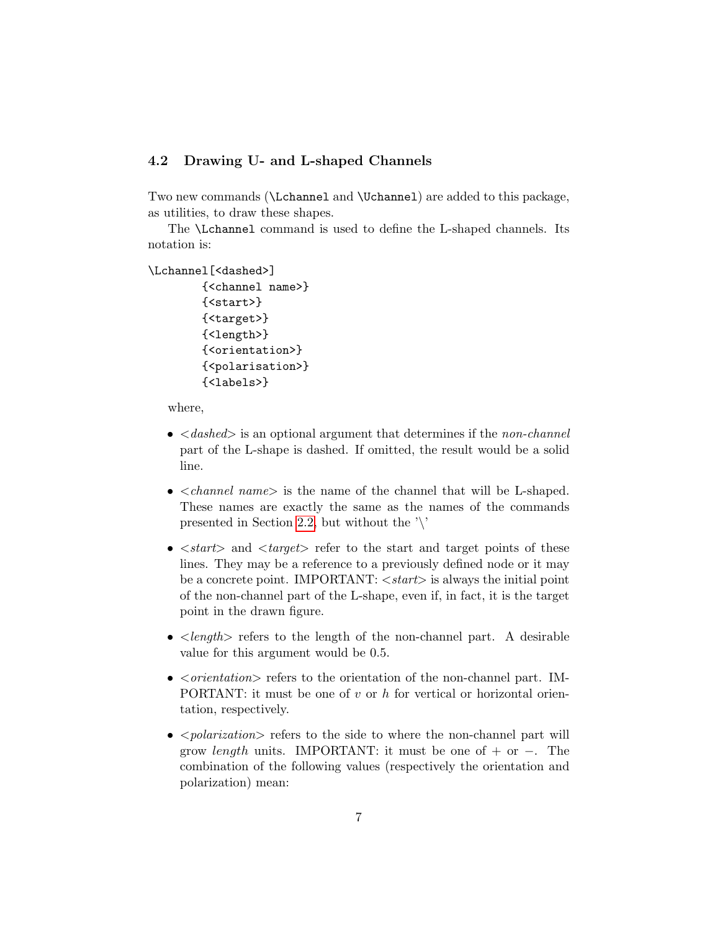### 4.2 Drawing U- and L-shaped Channels

Two new commands (\Lchannel and \Uchannel) are added to this package, as utilities, to draw these shapes.

The \Lchannel command is used to define the L-shaped channels. Its notation is:

```
\Lchannel[<dashed>]
        {<channel name>}
        {<start>}
        {<target>}
        {<length>}
        {<orientation>}
        {<polarisation>}
```
{<labels>}

where,

- $\bullet$   $\leq$  dashed  $\geq$  is an optional argument that determines if the non-channel part of the L-shape is dashed. If omitted, the result would be a solid line.
- $\bullet$  <*channel name*> is the name of the channel that will be L-shaped. These names are exactly the same as the names of the commands presented in Section [2.2,](#page-2-0) but without the  $\vee$
- $\lt$ *start* $>$  and  $\lt$ *target* $>$  refer to the start and target points of these lines. They may be a reference to a previously defined node or it may be a concrete point. IMPORTANT:  $\langle start \rangle$  is always the initial point of the non-channel part of the L-shape, even if, in fact, it is the target point in the drawn figure.
- $\leq$  length  $\geq$  refers to the length of the non-channel part. A desirable value for this argument would be 0.5.
- $\bullet$   $\leq$  orientation  $\geq$  refers to the orientation of the non-channel part. IM-PORTANT: it must be one of  $v$  or  $h$  for vertical or horizontal orientation, respectively.
- $\leq$  polarization refers to the side to where the non-channel part will grow *length* units. IMPORTANT: it must be one of + or  $-$ . The combination of the following values (respectively the orientation and polarization) mean: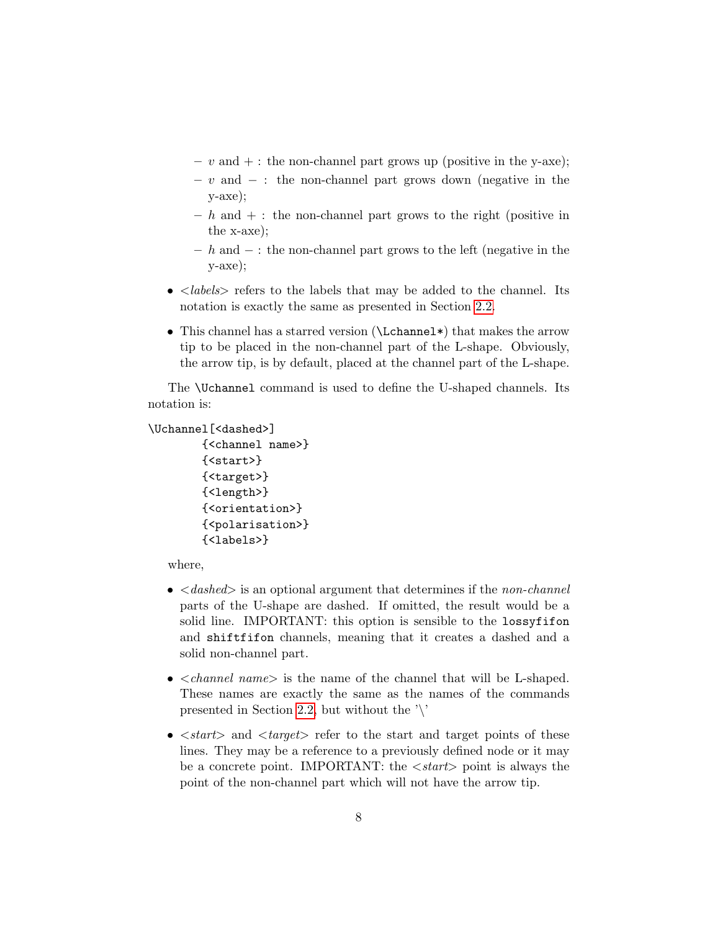- $v$  and  $+ :$  the non-channel part grows up (positive in the y-axe);
- $v$  and  $:$  the non-channel part grows down (negative in the y-axe);
- $h$  and  $+$ : the non-channel part grows to the right (positive in the x-axe);
- $h h$  and  $-$ : the non-channel part grows to the left (negative in the y-axe);
- $\leq$  *labels* > refers to the labels that may be added to the channel. Its notation is exactly the same as presented in Section [2.2.](#page-2-0)
- This channel has a starred version (\Lchannel\) that makes the arrow tip to be placed in the non-channel part of the L-shape. Obviously, the arrow tip, is by default, placed at the channel part of the L-shape.

The \Uchannel command is used to define the U-shaped channels. Its notation is:

```
\Uchannel[<dashed>]
```

```
{<channel name>}
{<start>}
{<target>}
{<length>}
{<orientation>}
{<polarisation>}
{<labels>}
```
where,

- $\bullet$  <dashed> is an optional argument that determines if the non-channel parts of the U-shape are dashed. If omitted, the result would be a solid line. IMPORTANT: this option is sensible to the lossyfifon and shiftfifon channels, meaning that it creates a dashed and a solid non-channel part.
- $\bullet$  <*channel name*> is the name of the channel that will be L-shaped. These names are exactly the same as the names of the commands presented in Section [2.2,](#page-2-0) but without the  $\prime\prime$ .
- $\leq$  start $>$  and  $\leq$  target $>$  refer to the start and target points of these lines. They may be a reference to a previously defined node or it may be a concrete point. IMPORTANT: the  $\langle start \rangle$  point is always the point of the non-channel part which will not have the arrow tip.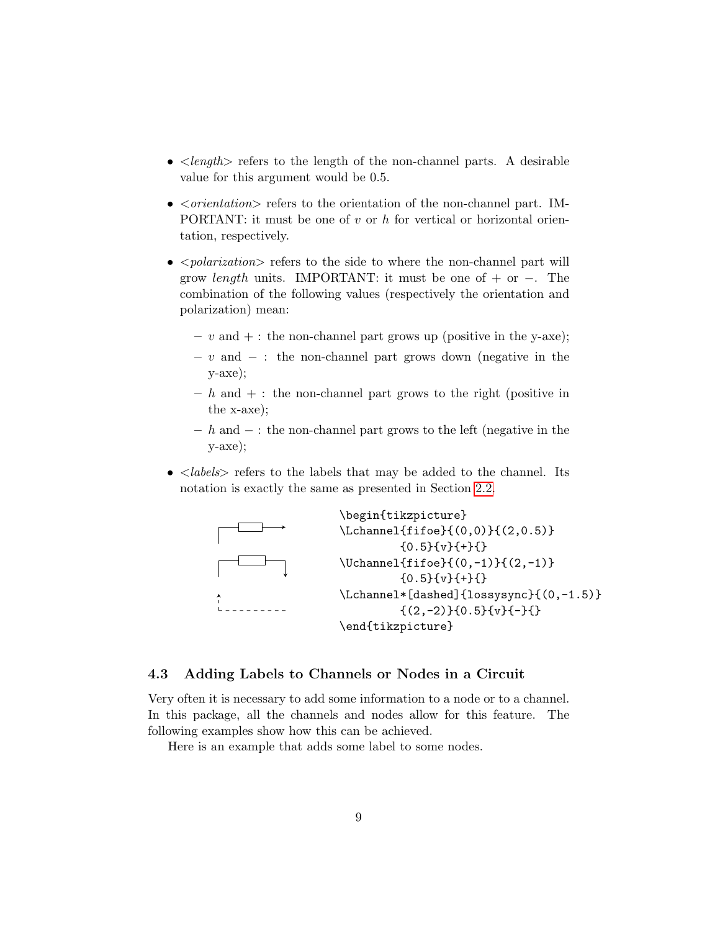- $\leq$  length  $>$  refers to the length of the non-channel parts. A desirable value for this argument would be 0.5.
- $\leq$  *orientation* Freedrich refers to the orientation of the non-channel part. IM-PORTANT: it must be one of  $v$  or  $h$  for vertical or horizontal orientation, respectively.
- $\leq$  polarization  $\geq$  refers to the side to where the non-channel part will grow *length* units. IMPORTANT: it must be one of + or  $-$ . The combination of the following values (respectively the orientation and polarization) mean:
	- $v$  and  $+ :$  the non-channel part grows up (positive in the y-axe);
	- $v$  and  $-$ : the non-channel part grows down (negative in the y-axe);
	- $h$  and  $+$ : the non-channel part grows to the right (positive in the x-axe);
	- h and − : the non-channel part grows to the left (negative in the y-axe);
- $\bullet$  <labels> refers to the labels that may be added to the channel. Its notation is exactly the same as presented in Section [2.2.](#page-2-0)



### 4.3 Adding Labels to Channels or Nodes in a Circuit

Very often it is necessary to add some information to a node or to a channel. In this package, all the channels and nodes allow for this feature. The following examples show how this can be achieved.

Here is an example that adds some label to some nodes.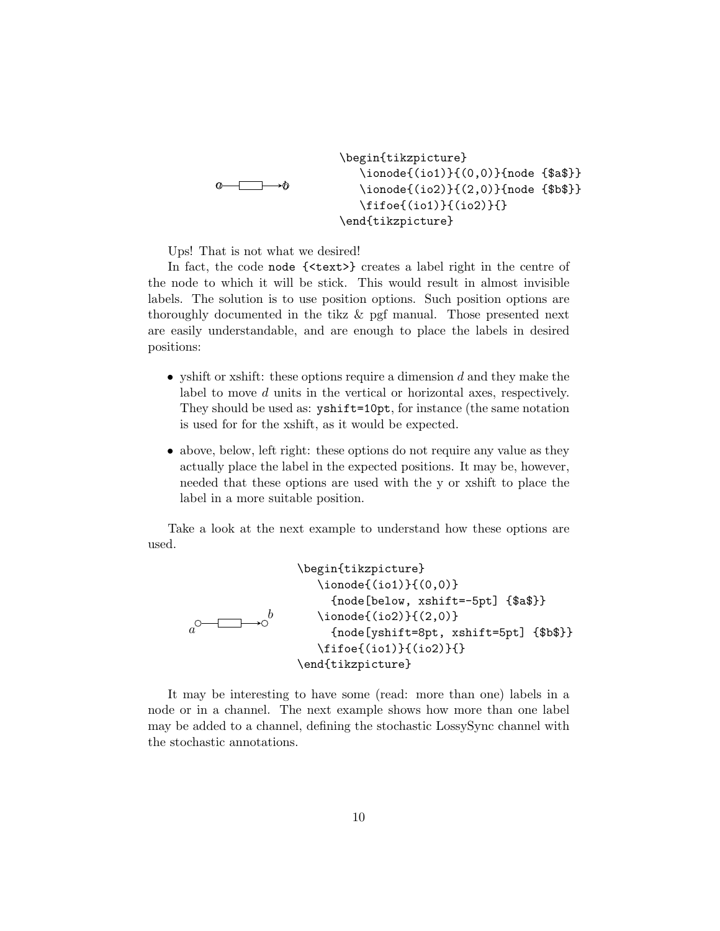a b \begin{tikzpicture} \ionode{(io1)}{(0,0)}{node {\$a\$}} \ionode{(io2)}{(2,0)}{node {\$b\$}} \fifoe{(io1)}{(io2)}{} \end{tikzpicture}

Ups! That is not what we desired!

In fact, the code node {<text>} creates a label right in the centre of the node to which it will be stick. This would result in almost invisible labels. The solution is to use position options. Such position options are thoroughly documented in the tikz & pgf manual. Those presented next are easily understandable, and are enough to place the labels in desired positions:

- yshift or xshift: these options require a dimension  $d$  and they make the label to move d units in the vertical or horizontal axes, respectively. They should be used as: yshift=10pt, for instance (the same notation is used for for the xshift, as it would be expected.
- above, below, left right: these options do not require any value as they actually place the label in the expected positions. It may be, however, needed that these options are used with the y or xshift to place the label in a more suitable position.

Take a look at the next example to understand how these options are used.

```
\n\begin{array}{r}\n\begin{array}{r}\n\begin{array}{r}\n\begin{array}{r}\n\begin{array}{r}\n\begin{array}{r}\n\begin{array}{r}\n\end{array}\n\end{array}\n\end{array}\n\end{math>\n\end{math>\n
```
\n
$$
a^0
$$
\n $\begin{array}{r}\n\begin{array}{r}\n\begin{array}{r}\n\end{array}\n\end{math>\n$ \n $a^0$ \n $\begin{array}{r}\n\begin{array}{r}\n\end{array}\n\end{math>\n$ \n $a^0$ \n $\begin{array}{r}\n\end{array}\n\end{math>\n$ \n $a^0$ \n $a^0$ \n $\begin{array}{r}\n\end{array}\n\end{math>\n$ \n $a^0$ \n $\begin{array}{r}\n\end{array}\n\end{math>\n$ \n $a^0$ \n $\begin{array}{r}\n\end{array}\n\end{math>\n$ \n $a^0$ \n $\begin{array}{r}\n\end{array}\n\end{math>\n$ \n $a^0$ \n $\begin{array}{r}\n\end{array}\n\end{math>\n$ \n $a^0$ \n $\begin{array}{r}\n\end{array}\n\end{math>\n$ \n $a^0$ \n $\begin{array}{r}\n\end{array}\n\end{math>\n$ \n $a^0$ \n $\begin{array}{r}\n\end{array}\n\end{math>\n$ \n $a^0$ \n $\begin{array}{r}\n\end{array}\n\end{math>\n$ \n $a^0$ \n $\begin{array}{r}\n\end{array}\n\end{math>\n$ \n $a^0$ \n $\begin{array}{r}\n\end{array}\n\end{math>\n$ \n $a^0$ \n $\begin{array}{r}\n\end{array}\n\end{math>\n$ \n $a^0$ \n $\begin{array}{r}\n\end{array}\n\end{math>\n$ \n $a^0$ \n $\begin{array}{r}\n\end{array}\n\end{math>\n$ \n $a^0$ \n $\begin{array}{r}\n\end{array}\n\end{math>\n$ \n $a^0$ \n

It may be interesting to have some (read: more than one) labels in a node or in a channel. The next example shows how more than one label may be added to a channel, defining the stochastic LossySync channel with the stochastic annotations.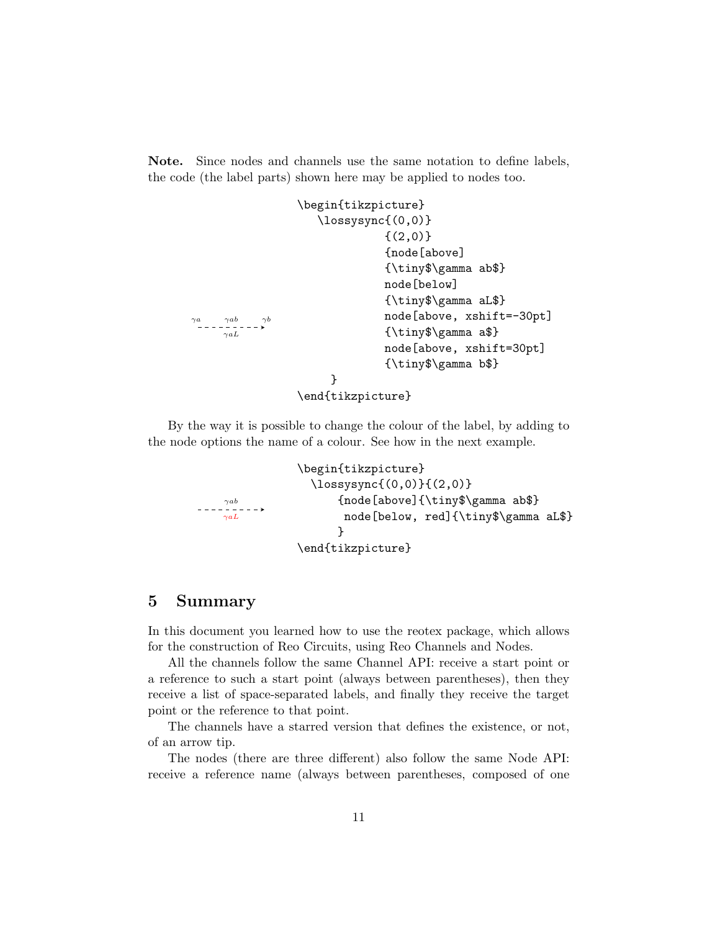Note. Since nodes and channels use the same notation to define labels, the code (the label parts) shown here may be applied to nodes too.

```
\gamma ab\gamma aL\gamma a \qquad \gamma ab \qquad \gamma b\begin{tikzpicture}
                       \lossysync{(0,0)}
                                   \{(2,0)\}{node[above]
                                   {\tiny$\gamma ab$}
                                   node[below]
                                   {\tiny$\gamma aL$}
                                   node[above, xshift=-30pt]
                                   {\tiny$\gamma a$}
                                   node[above, xshift=30pt]
                                   {\tiny$\gamma b$}
                         }
                   \end{tikzpicture}
```
By the way it is possible to change the colour of the label, by adding to the node options the name of a colour. See how in the next example.

```
\gammaab
\gamma a L\begin{tikzpicture}
              \lossysync{(0,0)}{(2,0)}
                   {node[above]{\tiny$\gamma ab$}
                    node[below, red]{\tiny$\gamma aL$}
                   }
            \end{tikzpicture}
```
### 5 Summary

In this document you learned how to use the reotex package, which allows for the construction of Reo Circuits, using Reo Channels and Nodes.

All the channels follow the same Channel API: receive a start point or a reference to such a start point (always between parentheses), then they receive a list of space-separated labels, and finally they receive the target point or the reference to that point.

The channels have a starred version that defines the existence, or not, of an arrow tip.

The nodes (there are three different) also follow the same Node API: receive a reference name (always between parentheses, composed of one